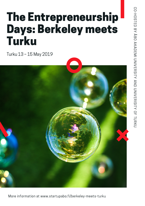# The Entrepreneurship Days: Berkeley meets Turku

Turku 13 – 15 May 2019

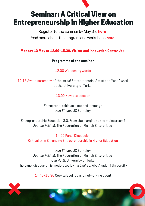

[Register](https://link.webropolsurveys.com/S/E6BD100C5930CDFD) to the seminar by May 3rd here Read more about the program and [workshops](https://www.startupabo.fi/berkeley-meets-turku) here

Monday 13 May at 12.00–15.30, Visitor and Innovation Center Joki

Programme of the seminar

12.00 Welcoming words

12.15 Award ceremony of the Intoa! Entrepreneurial Act of the Year Award at the University of Turku

13.00 Keynote session

Entrepreneurship as a second language Ken Singer, UC Berkeley

Entrepreneurship Education 3.0. From the margins to the mainstream? Joonas Mikkilä, The Federation of Finnish Enterprises

14.00 Panel Discussion Criticality in Enhancing Entrepreneurship in Higher Education

Ken Singer, UC Berkeley Joonas Mikkilä, The Federation of Finnish Enterprises Ulla Hytti, University of Turku The panel discussion is moderated by Ina Laakso, Åbo Akademi University

14.45–15.30 Cocktail/coffee and networking event

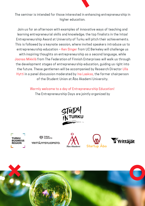

Join us for an afternoon with examples of innovative ways of teaching and learning entrepreneurial skills and knowledge; the top finalists in the Intoa! Entrepreneurship Award at University of Turku will pitch their achievements. This is followed by a keynote session, where invited speakers introduce us to entrepreneurship education – Ken Singer from UC Berkeley will challenge us with inspiring thoughts on entrepreneurship as a second language, while Joonas Mikkilä from The Federation of Finnish Enterprises will walk us through the development stages of entrepreneurship education, guiding us right into the future. These gentlemen will be accompanied by Research Director Ulla Hytti in a panel discussion moderated by Ina Laakso, the former chairperson of the Student Union at Åbo Akademi University.

Warmly welcome to a day of Entrepreneurship Education!

The Entrepreneurship Days are jointly organized by





TURUN<br>FYLIOPISTO **YRITTÄJYYSYLIOPISTO.** 







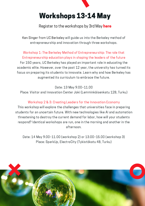

Register to the [workshops](https://forms.gle/3sFmV1fNBSowiwCL6) by 3rd May here

Ken Singer from UC Berkeley will guide us into the Berkeley method of entrepreneurship and innovation through three workshops.

Workshop 1: The Berkeley Method of Entrepreneurship: The role that Entrepreneurship education plays in shaping the leaders of the future For 150 years, UC Berkeley has played an important role in educating the academic elite. However, over the past 12 year, the university has turned its focus on preparing its students to innovate. Learn why and how Berkeley has augmented its curriculum to embrace the future.

Date: 13 May 9.00–11.00

Place: Visitor and Innovation Center Joki (Lemminkäisenkatu 12B, Turku)

#### Workshop 2 & 3: Creating Leaders for the Innovation Economy

This workshop will explore the challenges that universities face in preparing students for an uncertain future. With new technologies like AI and automation threatening to destroy the current demand for labor, how will your students respond? Identical workshops are run, one in the morning and another in the afternoon.

Date: 14 May 9.00–11.00 (workshop 2) or 13.00–15.00 (workshop 3) Place: SparkUp, ElectroCity (Tykistökatu 4B, Turku)